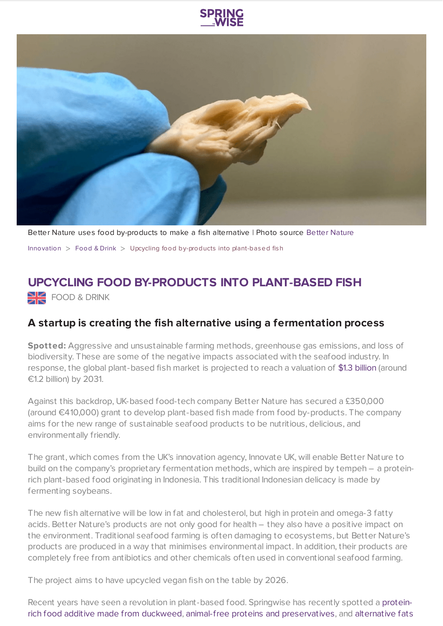



Better Nature uses food by-products to make a fish alternative | Photo source Better [Nature](https://www.betternaturetempeh.co/) [Innovation](https://www.springwise.com/search?type=innovation)  $>$  [Food](https://www.springwise.com/search?type=innovation§or=food-and-drink) & Drink  $>$  Upcycling food by-products into plant-based fish

## **UPCYCLING FOOD BY-PRODUCTS INTO PLANT-BASED FISH**

**SHE** FOOD & DRINK

## **A startup is creating the fish alternative using a fermentation process**

**Spotted:** Aggressive and unsustainable farming methods, greenhouse gas emissions, and loss of biodiversity. These are some of the negative impacts associated with the seafood industry. In response, the global plant-based fish market is projected to reach a valuation of \$1.3 [billion](https://www.factmr.com/report/plant-based-fish-market#:~:text=The%20global%20plant%2Dbased%20fish,over%20one%2Dthird%2C%20respectively.) (around €1.2 billion) by 2031.

Against this backdrop, UK-based food-tech company Better Nature has secured a £350,000 (around €410,000) grant to develop plant-based fish made from food by-products. The company aims for the new range of sustainable seafood products to be nutritious, delicious, and environmentally friendly.

The grant, which comes from the UK's innovation agency, Innovate UK, will enable Better Nature to build on the company's proprietary fermentation methods, which are inspired by tempeh – a proteinrich plant-based food originating in Indonesia. This traditional Indonesian delicacy is made by fermenting soybeans.

The new fish alternative will be low in fat and cholesterol, but high in protein and omega-3 fatty acids. Better Nature's products are not only good for health – they also have a positive impact on the environment. Traditional seafood farming is often damaging to ecosystems, but Better Nature's products are produced in a way that minimises environmental impact. In addition, their products are completely free from antibiotics and other chemicals often used in conventional seafood farming.

The project aims to have upcycled vegan fish on the table by 2026.

Recent years have seen a revolution in plant-based food. Springwise has recently spotted a proteinrich food additive made from duckweed, animal-free proteins and [preservatives,](https://www.springwise.com/innovation/food-drink/sustainable-scalable-and-affordable-plant-based-protein) and alternative fats